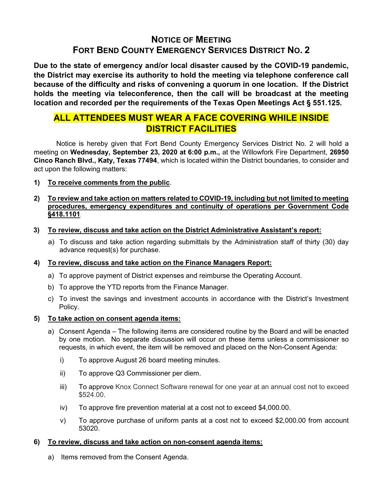# NOTICE OF MEETING FORT BEND COUNTY EMERGENCY SERVICES DISTRICT NO. 2

Due to the state of emergency and/or local disaster caused by the COVID-19 pandemic, the District may exercise its authority to hold the meeting via telephone conference call because of the difficulty and risks of convening a quorum in one location. If the District holds the meeting via teleconference, then the call will be broadcast at the meeting location and recorded per the requirements of the Texas Open Meetings Act § 551.125.

## ALL ATTENDEES MUST WEAR A FACE COVERING WHILE INSIDE DISTRICT FACILITIES

 Notice is hereby given that Fort Bend County Emergency Services District No. 2 will hold a meeting on Wednesday, September 23, 2020 at 6:00 p.m., at the Willowfork Fire Department, 26950 Cinco Ranch Blvd., Katy, Texas 77494, which is located within the District boundaries, to consider and act upon the following matters:

1) To receive comments from the public.

### 2) To review and take action on matters related to COVID-19, including but not limited to meeting procedures, emergency expenditures and continuity of operations per Government Code §418.1101.

- 3) To review, discuss and take action on the District Administrative Assistant's report:
	- a) To discuss and take action regarding submittals by the Administration staff of thirty (30) day advance request(s) for purchase.

### 4) To review, discuss and take action on the Finance Managers Report:

- a) To approve payment of District expenses and reimburse the Operating Account.
- b) To approve the YTD reports from the Finance Manager.
- c) To invest the savings and investment accounts in accordance with the District's Investment Policy.

### 5) To take action on consent agenda items:

- a) Consent Agenda The following items are considered routine by the Board and will be enacted by one motion. No separate discussion will occur on these items unless a commissioner so requests, in which event, the item will be removed and placed on the Non-Consent Agenda:
	- i) To approve August 26 board meeting minutes.
	- ii) To approve Q3 Commissioner per diem.
	- iii) To approve Knox Connect Software renewal for one year at an annual cost not to exceed \$524.00.
	- iv) To approve fire prevention material at a cost not to exceed \$4,000.00.
	- v) To approve purchase of uniform pants at a cost not to exceed \$2,000.00 from account 53020.

### 6) To review, discuss and take action on non-consent agenda items:

a) Items removed from the Consent Agenda.